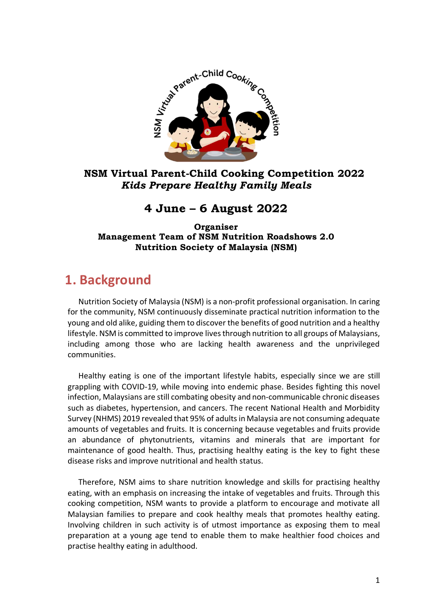

### **NSM Virtual Parent-Child Cooking Competition 2022** *Kids Prepare Healthy Family Meals*

### **4 June – 6 August 2022**

#### **Organiser Management Team of NSM Nutrition Roadshows 2.0 Nutrition Society of Malaysia (NSM)**

## **1. Background**

Nutrition Society of Malaysia (NSM) is a non-profit professional organisation. In caring **BackBackground**for the community, NSM continuously disseminate practical nutrition information to the young and old alike, guiding them to discover the benefits of good nutrition and a healthy lifestyle. NSM is committed to improve livesthrough nutrition to all groups of Malaysians, including among those who are lacking health awareness and the unprivileged communities.

Healthy eating is one of the important lifestyle habits, especially since we are still grappling with COVID-19, while moving into endemic phase. Besides fighting this novel infection, Malaysians are still combating obesity and non-communicable chronic diseases such as diabetes, hypertension, and cancers. The recent National Health and Morbidity Survey (NHMS) 2019 revealed that 95% of adultsinMalaysia are not consuming adequate amounts of vegetables and fruits. It is concerning because vegetables and fruits provide an abundance of phytonutrients, vitamins and minerals that are important for maintenance of good health. Thus, practising healthy eating is the key to fight these disease risks and improve nutritional and health status.

Therefore, NSM aims to share nutrition knowledge and skills for practising healthy eating, with an emphasis on increasing the intake of vegetables and fruits. Through this cooking competition, NSM wants to provide a platform to encourage and motivate all Malaysian families to prepare and cook healthy meals that promotes healthy eating. Involving children in such activity is of utmost importance as exposing them to meal preparation at a young age tend to enable them to make healthier food choices and practise healthy eating in adulthood.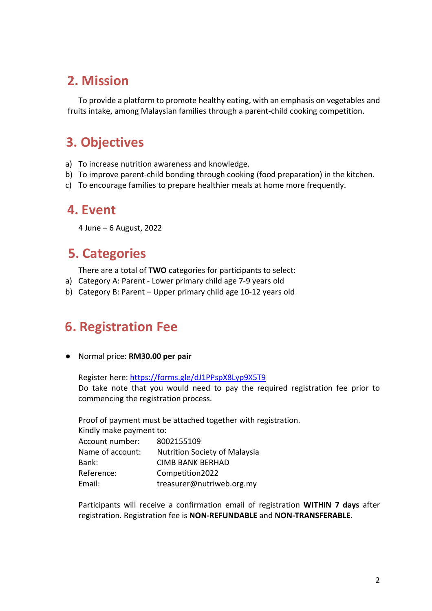## **2. Mission**

To provide a platform to promote healthy eating, with an emphasis on vegetables and fruits intake, among Malaysian families through a parent-child cooking competition.

# **3. Objectives**

- a) To increase nutrition awareness and knowledge.
- b) To improve parent-child bonding through cooking (food preparation) in the kitchen.
- c) To encourage families to prepare healthier meals at home more frequently.

### **4. Event**

4 June – 6 August, 2022

# **5. Categories**

There are a total of **TWO** categories for participants to select:

- a) Category A: Parent Lower primary child age 7-9 years old
- b) Category B: Parent Upper primary child age 10-12 years old

# **6. Registration Fee**

● Normal price: **RM30.00 per pair**

Register here: <https://forms.gle/dJ1PPspX8Lyp9X5T9> Do take note that you would need to pay the required registration fee prior to commencing the registration process.

Proof of payment must be attached together with registration. Kindly make payment to: Account number: 8002155109 Name of account: Nutrition Society of Malaysia Bank: CIMB BANK BERHAD Reference: Competition2022 Email: treasurer@nutriweb.org.my

Participants will receive a confirmation email of registration **WITHIN 7 days** after registration. Registration fee is **NON-REFUNDABLE** and **NON-TRANSFERABLE**.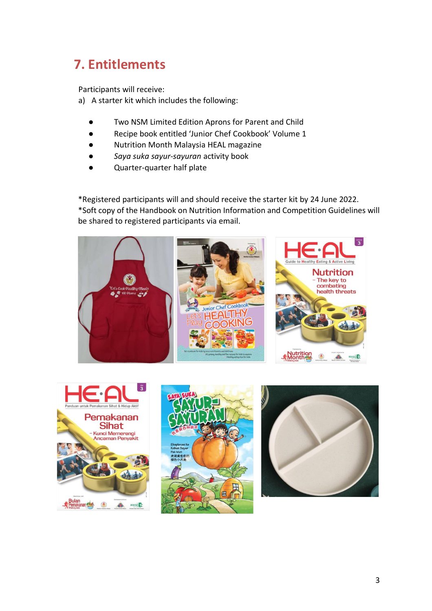# **7. Entitlements**

Participants will receive:

a) A starter kit which includes the following:

- Two NSM Limited Edition Aprons for Parent and Child
- Recipe book entitled 'Junior Chef Cookbook' Volume 1
- Nutrition Month Malaysia HEAL magazine
- *Saya suka sayur-sayuran* activity book
- Quarter-quarter half plate

\*Registered participants will and should receive the starter kit by 24 June 2022. \*Soft copy of the Handbook on Nutrition Information and Competition Guidelines will be shared to registered participants via email.







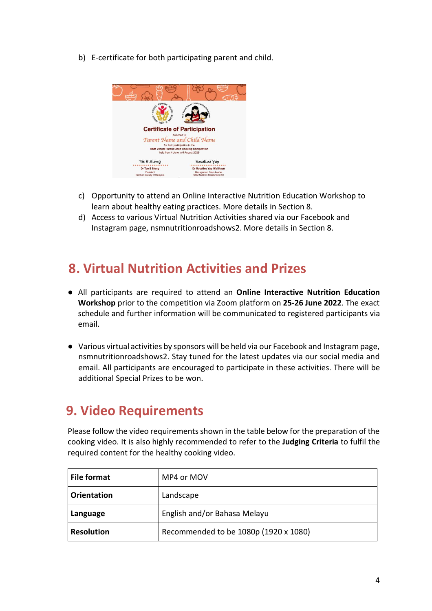b) E-certificate for both participating parent and child.



- c) Opportunity to attend an Online Interactive Nutrition Education Workshop to learn about healthy eating practices. More details in Section 8.
- d) Access to various Virtual Nutrition Activities shared via our Facebook and Instagram page, nsmnutritionroadshows2. More details in Section 8.

# **8. Virtual Nutrition Activities and Prizes**

- All participants are required to attend an **Online Interactive Nutrition Education Workshop** prior to the competition via Zoom platform on **25-26 June 2022**. The exact schedule and further information will be communicated to registered participants via email.
- Various virtual activities by sponsors will be held via our Facebook and Instagrampage, nsmnutritionroadshows2. Stay tuned for the latest updates via our social media and email. All participants are encouraged to participate in these activities. There will be additional Special Prizes to be won.

# **9. Video Requirements**

Please follow the video requirementsshown in the table below for the preparation of the cooking video. It is also highly recommended to refer to the **Judging Criteria** to fulfil the required content for the healthy cooking video.

| File format        | MP4 or MOV                            |  |
|--------------------|---------------------------------------|--|
| <b>Orientation</b> | Landscape                             |  |
| Language           | English and/or Bahasa Melayu          |  |
| <b>Resolution</b>  | Recommended to be 1080p (1920 x 1080) |  |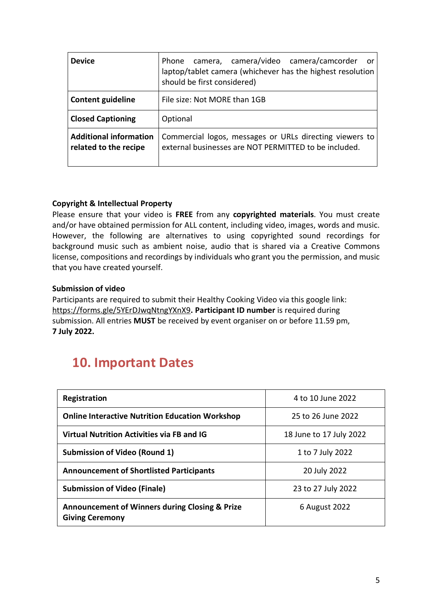| <b>Device</b>                                          | Phone camera, camera/video camera/camcorder<br>- or<br>laptop/tablet camera (whichever has the highest resolution<br>should be first considered) |
|--------------------------------------------------------|--------------------------------------------------------------------------------------------------------------------------------------------------|
| <b>Content guideline</b>                               | File size: Not MORE than 1GB                                                                                                                     |
| <b>Closed Captioning</b>                               | Optional                                                                                                                                         |
| <b>Additional information</b><br>related to the recipe | Commercial logos, messages or URLs directing viewers to<br>external businesses are NOT PERMITTED to be included.                                 |

#### **Copyright & Intellectual Property**

Please ensure that your video is **FREE** from any **copyrighted materials**. You must create and/or have obtained permission for ALL content, including video, images, words and music. However, the following are alternatives to using copyrighted sound recordings for background music such as ambient noise, audio that is shared via a Creative Commons license, compositions and recordings by individuals who grant you the permission, and music that you have created yourself.

#### **Submission of video**

Participants are required to submit their Healthy Cooking Video via this google link: <https://forms.gle/5YErDJwqNtngYXnX9>**. Participant ID number** is required during submission. All entries **MUST** be received by event organiser on or before 11.59 pm, **7 July 2022.**

# **10. Important Dates**

| Registration                                                                        | 4 to 10 June 2022       |
|-------------------------------------------------------------------------------------|-------------------------|
| <b>Online Interactive Nutrition Education Workshop</b>                              | 25 to 26 June 2022      |
| <b>Virtual Nutrition Activities via FB and IG</b>                                   | 18 June to 17 July 2022 |
| <b>Submission of Video (Round 1)</b>                                                | 1 to 7 July 2022        |
| <b>Announcement of Shortlisted Participants</b>                                     | 20 July 2022            |
| <b>Submission of Video (Finale)</b>                                                 | 23 to 27 July 2022      |
| <b>Announcement of Winners during Closing &amp; Prize</b><br><b>Giving Ceremony</b> | 6 August 2022           |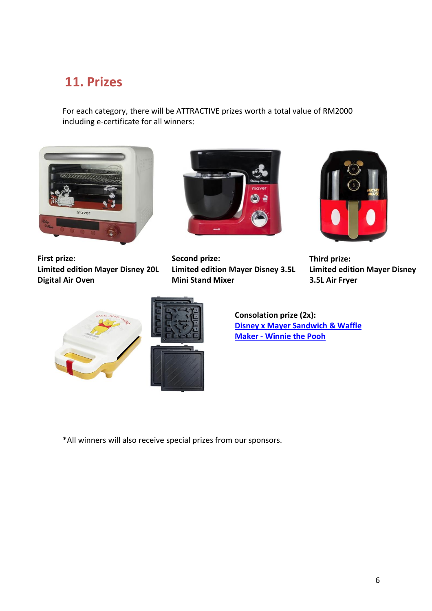# **11. Prizes**

For each category, there will be ATTRACTIVE prizes worth a total value of RM2000 including e-certificate for all winners:



**First prize: Limited edition Mayer Disney 20L Digital Air Oven**



**Second prize: Limited edition Mayer Disney 3.5L Mini Stand Mixer**



**Third prize: Limited edition Mayer Disney 3.5L Air Fryer**





**Consolation prize (2x): Disney x Mayer [Sandwich](https://www.mayermalaysia.com/disney-x-mayer-sandwich-&-waffle-maker-mmswm10-ph.html) & Waffle Maker - [Winnie](https://www.mayermalaysia.com/disney-x-mayer-sandwich-&-waffle-maker-mmswm10-ph.html) the Pooh**

\*All winners will also receive special prizes from our sponsors.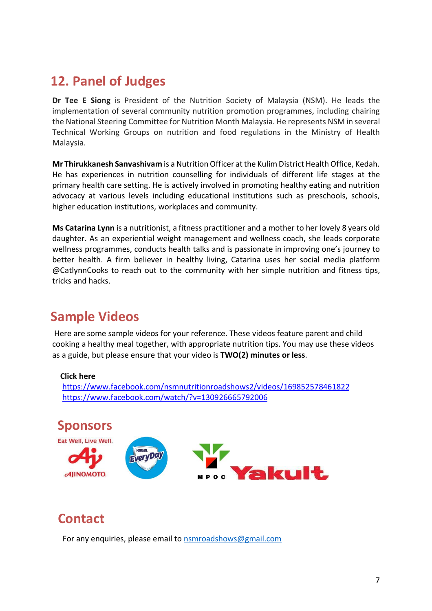# **12. Panel of Judges**

**Dr Tee E Siong** is President of the Nutrition Society of Malaysia (NSM). He leads the implementation of several community nutrition promotion programmes, including chairing the National Steering Committee for Nutrition Month Malaysia. He represents NSM in several Technical Working Groups on nutrition and food regulations in the Ministry of Health Malaysia.

**Mr Thirukkanesh Sanvashivam** is a Nutrition Officer at the Kulim District Health Office, Kedah. He has experiences in nutrition counselling for individuals of different life stages at the primary health care setting. He is actively involved in promoting healthy eating and nutrition advocacy at various levels including educational institutions such as preschools, schools, higher education institutions, workplaces and community.

**Ms Catarina Lynn** is a nutritionist, a fitness practitioner and a mother to her lovely 8 years old daughter. As an experiential weight management and wellness coach, she leads corporate wellness programmes, conducts health talks and is passionate in improving one's journey to better health. A firm believer in healthy living, Catarina uses her social media platform @CatlynnCooks to reach out to the community with her simple nutrition and fitness tips, tricks and hacks.

# **Sample Videos**

Here are some sample videos for your reference. These videos feature parent and child cooking a healthy meal together, with appropriate nutrition tips. You may use these videos as a guide, but please ensure that your video is **TWO(2) minutes or less**.

### **Click here**

<https://www.facebook.com/nsmnutritionroadshows2/videos/169852578461822> <https://www.facebook.com/watch/?v=130926665792006>



# **Contact**

For any enquiries, please email to [nsmroadshows@g](mailto:nsmroadshows@nutriweb.org.my)mail.com **Detail**